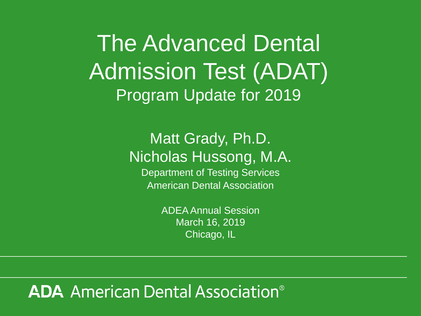The Advanced Dental Admission Test (ADAT) Program Update for 2019

> Matt Grady, Ph.D. Nicholas Hussong, M.A.

Department of Testing Services American Dental Association

> ADEA Annual Session March 16, 2019 Chicago, IL

## **ADA** American Dental Association<sup>®</sup>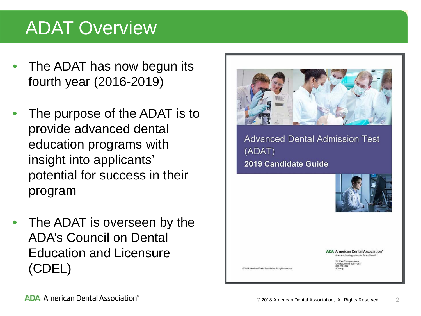## ADAT Overview

- The ADAT has now begun its fourth year (2016-2019)
- The purpose of the ADAT is to provide advanced dental education programs with insight into applicants' potential for success in their program
- The ADAT is overseen by the ADA's Council on Dental Education and Licensure (CDEL)



**Advanced Dental Admission Test** (ADAT) 2019 Candidate Guide



**ADA American Dental Association®** America's leading advocate for oral health

211 East Chicago Avenue<br>Chicago, Illinois 60611-2637<br>800.232.1694

@2019 American Dental Association. All rights resent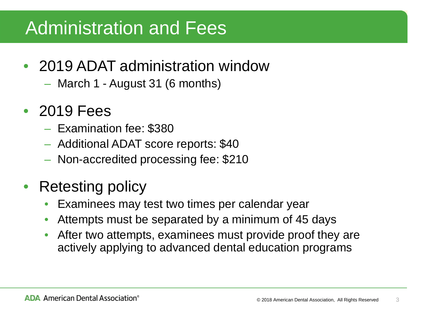## Administration and Fees

- 2019 ADAT administration window
	- March 1 August 31 (6 months)
- 2019 Fees
	- Examination fee: \$380
	- Additional ADAT score reports: \$40
	- Non-accredited processing fee: \$210
- Retesting policy
	- Examinees may test two times per calendar year
	- Attempts must be separated by a minimum of 45 days
	- After two attempts, examinees must provide proof they are actively applying to advanced dental education programs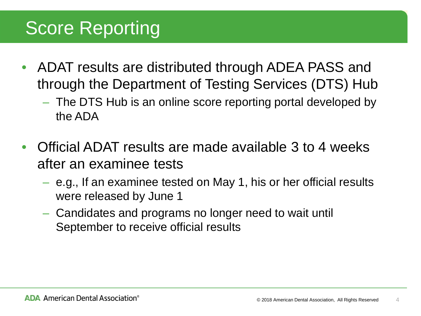# Score Reporting

- ADAT results are distributed through ADEA PASS and through the Department of Testing Services (DTS) Hub
	- The DTS Hub is an online score reporting portal developed by the ADA
- Official ADAT results are made available 3 to 4 weeks after an examinee tests
	- e.g., If an examinee tested on May 1, his or her official results were released by June 1
	- Candidates and programs no longer need to wait until September to receive official results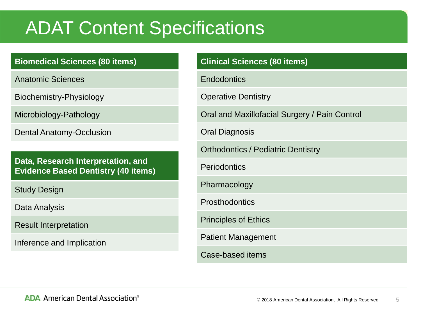## ADAT Content Specifications

#### **Biomedical Sciences (80 items)**

Anatomic Sciences

Biochemistry-Physiology

Microbiology-Pathology

Dental Anatomy-Occlusion

**Data, Research Interpretation, and Evidence Based Dentistry (40 items)** 

Study Design

Data Analysis

Result Interpretation

Inference and Implication

| <b>Clinical Sciences (80 items)</b>           |
|-----------------------------------------------|
| Endodontics                                   |
| <b>Operative Dentistry</b>                    |
| Oral and Maxillofacial Surgery / Pain Control |
| Oral Diagnosis                                |
| <b>Orthodontics / Pediatric Dentistry</b>     |
| Periodontics                                  |
| Pharmacology                                  |
| Prosthodontics                                |
| <b>Principles of Ethics</b>                   |
| <b>Patient Management</b>                     |
| Case-based items                              |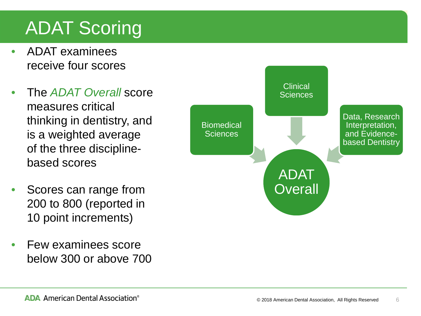# ADAT Scoring

- ADAT examinees receive four scores
- The *ADAT Overall* score measures critical thinking in dentistry, and is a weighted average of the three disciplinebased scores
- Scores can range from 200 to 800 (reported in 10 point increments)
- Few examinees score below 300 or above 700

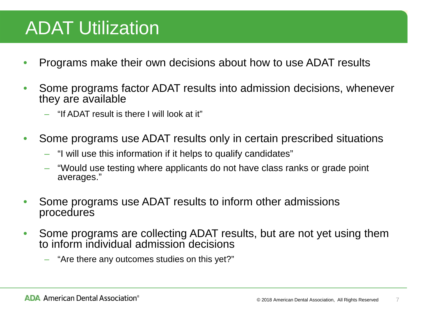## ADAT Utilization

- Programs make their own decisions about how to use ADAT results
- Some programs factor ADAT results into admission decisions, whenever they are available
	- "If ADAT result is there I will look at it"
- Some programs use ADAT results only in certain prescribed situations
	- "I will use this information if it helps to qualify candidates"
	- "Would use testing where applicants do not have class ranks or grade point averages."
- Some programs use ADAT results to inform other admissions procedures
- Some programs are collecting ADAT results, but are not yet using them to inform individual admission decisions
	- "Are there any outcomes studies on this yet?"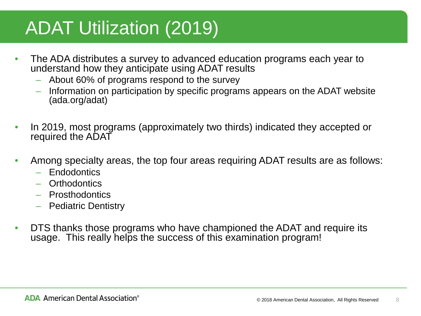## ADAT Utilization (2019)

- The ADA distributes a survey to advanced education programs each year to understand how they anticipate using ADAT results
	- About 60% of programs respond to the survey
	- Information on participation by specific programs appears on the ADAT website (ada.org/adat)
- In 2019, most programs (approximately two thirds) indicated they accepted or required the ADAT
- Among specialty areas, the top four areas requiring ADAT results are as follows:
	- Endodontics
	- Orthodontics
	- Prosthodontics
	- Pediatric Dentistry
- DTS thanks those programs who have championed the ADAT and require its usage. This really helps the success of this examination program!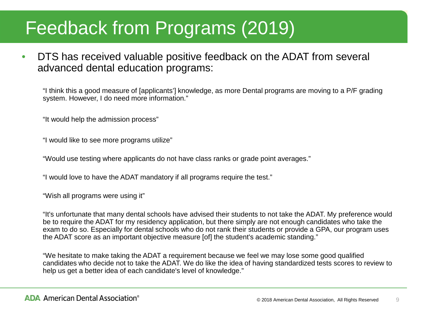## Feedback from Programs (2019)

• DTS has received valuable positive feedback on the ADAT from several advanced dental education programs:

"I think this a good measure of [applicants'] knowledge, as more Dental programs are moving to a P/F grading system. However, I do need more information."

"It would help the admission process"

"I would like to see more programs utilize"

"Would use testing where applicants do not have class ranks or grade point averages."

"I would love to have the ADAT mandatory if all programs require the test."

"Wish all programs were using it"

"It's unfortunate that many dental schools have advised their students to not take the ADAT. My preference would be to require the ADAT for my residency application, but there simply are not enough candidates who take the exam to do so. Especially for dental schools who do not rank their students or provide a GPA, our program uses the ADAT score as an important objective measure [of] the student's academic standing."

"We hesitate to make taking the ADAT a requirement because we feel we may lose some good qualified candidates who decide not to take the ADAT. We do like the idea of having standardized tests scores to review to help us get a better idea of each candidate's level of knowledge."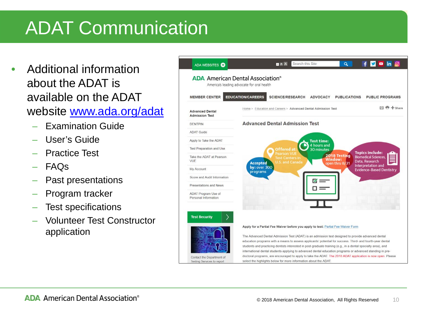# ADAT Communication

- Additional information about the ADAT is available on the ADAT website www.ada.org/adat
	- Examination Guide
	- User's Guide
	- Practice Test
	- FAQs
	- Past presentations
	- Program tracker
	- Test specifications
	- Volunteer Test Constructor application

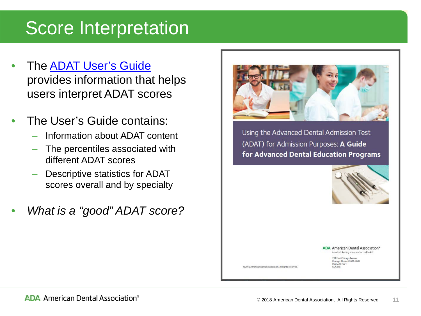## Score Interpretation

- The **ADAT User's Guide** provides information that helps users interpret ADAT scores
- The User's Guide contains:
	- Information about ADAT content
	- The percentiles associated with different ADAT scores
	- Descriptive statistics for ADAT scores overall and by specialty
- *What is a "good" ADAT score?*



Using the Advanced Dental Admission Test (ADAT) for Admission Purposes: A Guide for Advanced Dental Education Programs



**ADA American Dental Association\*** America's leading advocate for oral health

211 East Chicago Avenue

Chicago, Illinois 60611-2637<br>800.232.1694

ADA oro

@2016 American Dental Association. All rights reserved.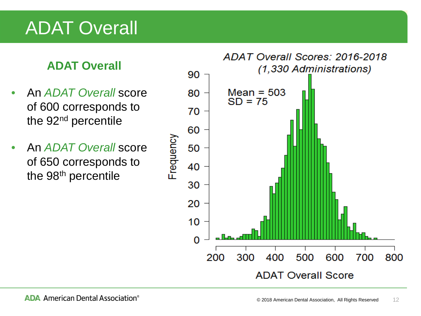## ADAT Overall

## **ADAT Overall**

- An *ADAT Overall* score of 600 corresponds to the 92nd percentile
- An *ADAT Overall* score of 650 corresponds to the 98<sup>th</sup> percentile

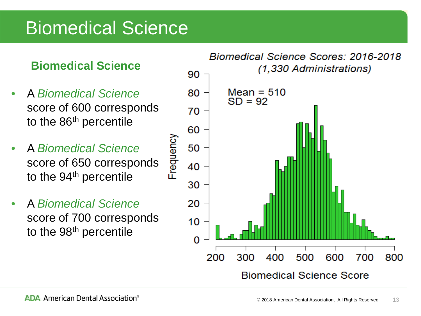## Biomedical Science

### **Biomedical Science**

- A *Biomedical Science*  score of 600 corresponds to the 86<sup>th</sup> percentile
- A *Biomedical Science*  score of 650 corresponds to the  $94<sup>th</sup>$  percentile

Frequency

• A *Biomedical Science*  score of 700 corresponds to the 98<sup>th</sup> percentile

#### **Biomedical Science Scores: 2016-2018** (1,330 Administrations)

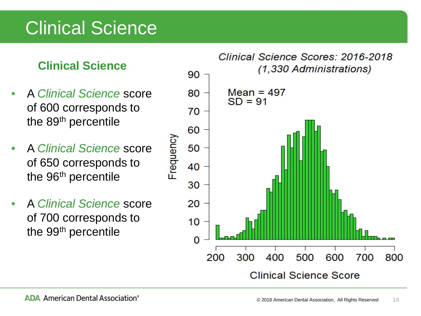## Clinical Science

## **Clinical Science**

- A *Clinical Science* score of 600 corresponds to the 89th percentile
- A *Clinical Science* score of 650 corresponds to the 96<sup>th</sup> percentile

Frequency

• A *Clinical Science* score of 700 corresponds to the 99<sup>th</sup> percentile

#### Clinical Science Scores: 2016-2018 (1,330 Administrations)

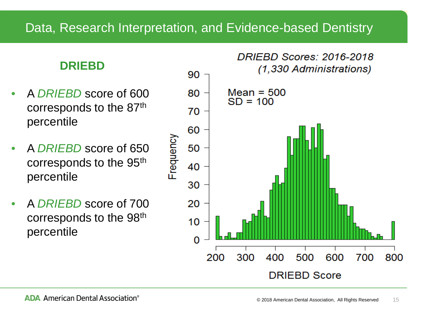### **DRIEBD**

- A *DRIEBD* score of 600 corresponds to the 87th percentile
- A *DRIEBD* score of 650 corresponds to the 95th percentile
- A *DRIEBD* score of 700 corresponds to the 98th percentile

#### **DRIFBD Scores: 2016-2018** (1,330 Administrations)

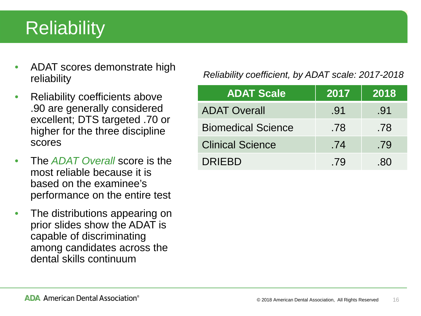# **Reliability**

- ADAT scores demonstrate high reliability
- Reliability coefficients above .90 are generally considered excellent; DTS targeted .70 or higher for the three discipline scores
- The *ADAT Overall* score is the most reliable because it is based on the examinee's performance on the entire test
- The distributions appearing on prior slides show the ADAT is capable of discriminating among candidates across the dental skills continuum

#### *Reliability coefficient, by ADAT scale: 2017-2018*

| <b>ADAT Scale</b>         | 2017 | 2018 |
|---------------------------|------|------|
| <b>ADAT Overall</b>       | .91  | .91  |
| <b>Biomedical Science</b> | .78  | .78  |
| <b>Clinical Science</b>   | .74  | .79  |
| <b>DRIEBD</b>             | .79  | -80  |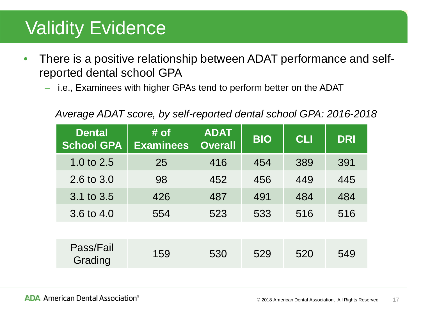## Validity Evidence

- There is a positive relationship between ADAT performance and selfreported dental school GPA
	- i.e., Examinees with higher GPAs tend to perform better on the ADAT

#### *Average ADAT score, by self-reported dental school GPA: 2016-2018*

| <b>Dental</b><br><b>School GPA</b> | $\sharp$ of<br><b>Examinees</b> | <b>ADAT</b><br><b>Overall</b> | <b>BIO</b> | <b>CLI</b> | <b>DRI</b> |
|------------------------------------|---------------------------------|-------------------------------|------------|------------|------------|
| 1.0 to $2.5$                       | 25                              | 416                           | 454        | 389        | 391        |
| 2.6 to 3.0                         | 98                              | 452                           | 456        | 449        | 445        |
| 3.1 to 3.5                         | 426                             | 487                           | 491        | 484        | 484        |
| 3.6 to 4.0                         | 554                             | 523                           | 533        | 516        | 516        |
|                                    |                                 |                               |            |            |            |
| Pass/Fail<br>Grading               | 159                             | 530                           | 529        | 520        | 549        |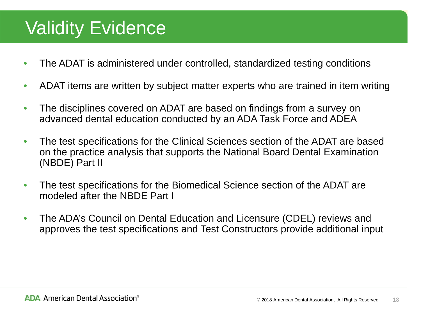## Validity Evidence

- The ADAT is administered under controlled, standardized testing conditions
- ADAT items are written by subject matter experts who are trained in item writing
- The disciplines covered on ADAT are based on findings from a survey on advanced dental education conducted by an ADA Task Force and ADEA
- The test specifications for the Clinical Sciences section of the ADAT are based on the practice analysis that supports the National Board Dental Examination (NBDE) Part II
- The test specifications for the Biomedical Science section of the ADAT are modeled after the NBDE Part I
- The ADA's Council on Dental Education and Licensure (CDEL) reviews and approves the test specifications and Test Constructors provide additional input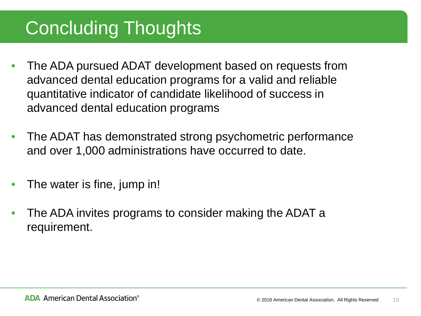# Concluding Thoughts

- The ADA pursued ADAT development based on requests from advanced dental education programs for a valid and reliable quantitative indicator of candidate likelihood of success in advanced dental education programs
- The ADAT has demonstrated strong psychometric performance and over 1,000 administrations have occurred to date.
- The water is fine, jump in!
- The ADA invites programs to consider making the ADAT a requirement.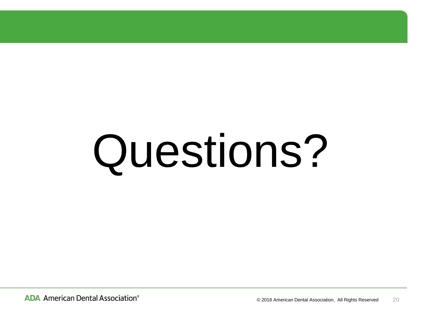# Questions?